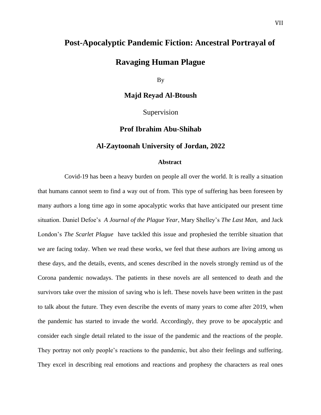## **Post-Apocalyptic Pandemic Fiction: Ancestral Portrayal of**

# **Ravaging Human Plague**

By

**Majd Reyad Al-Btoush**

Supervision

## **Prof Ibrahim Abu-Shihab**

### **Al-Zaytoonah University of Jordan, 2022**

#### **Abstract**

 Covid-19 has been a heavy burden on people all over the world. It is really a situation that humans cannot seem to find a way out of from. This type of suffering has been foreseen by many authors a long time ago in some apocalyptic works that have anticipated our present time situation. Daniel Defoe's *A Journal of the Plague Year*, Mary Shelley's *The Last Man,* and Jack London's *The Scarlet Plague* have tackled this issue and prophesied the terrible situation that we are facing today. When we read these works, we feel that these authors are living among us these days, and the details, events, and scenes described in the novels strongly remind us of the Corona pandemic nowadays. The patients in these novels are all sentenced to death and the survivors take over the mission of saving who is left. These novels have been written in the past to talk about the future. They even describe the events of many years to come after 2019, when the pandemic has started to invade the world. Accordingly, they prove to be apocalyptic and consider each single detail related to the issue of the pandemic and the reactions of the people. They portray not only people's reactions to the pandemic, but also their feelings and suffering. They excel in describing real emotions and reactions and prophesy the characters as real ones